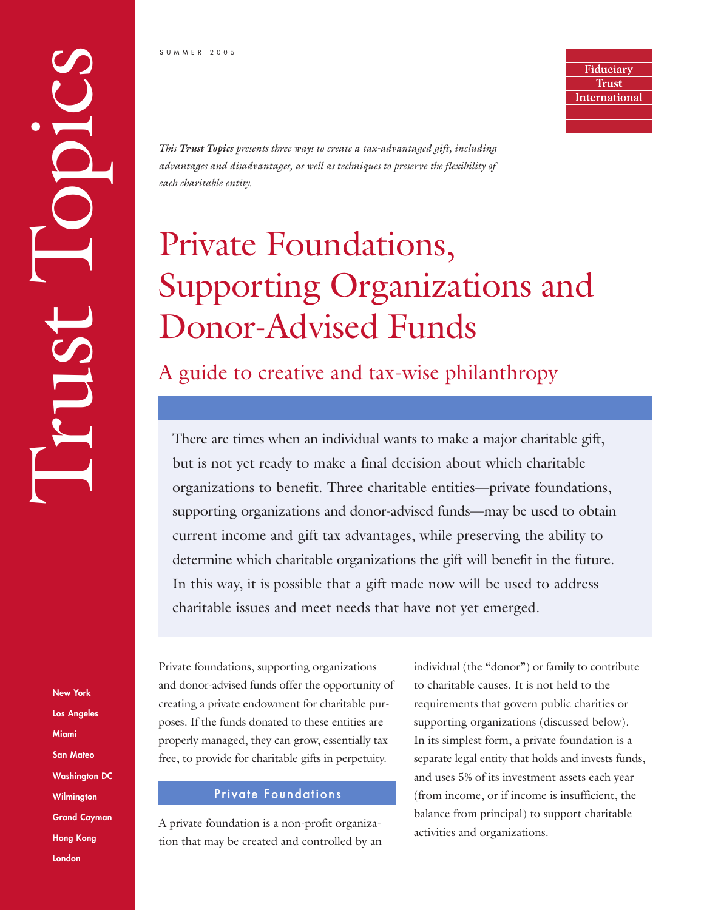Fiduciary **Trust International** 

*This Trust Topics presents three ways to create a tax-advantaged gift, including advantages and disadvantages, as well as techniques to preserve the flexibility of each charitable entity.*

# Private Foundations, Supporting Organizations and Donor-Advised Funds

A guide to creative and tax-wise philanthropy

There are times when an individual wants to make a major charitable gift, but is not yet ready to make a final decision about which charitable organizations to benefit. Three charitable entities—private foundations, supporting organizations and donor-advised funds—may be used to obtain current income and gift tax advantages, while preserving the ability to determine which charitable organizations the gift will benefit in the future. In this way, it is possible that a gift made now will be used to address charitable issues and meet needs that have not yet emerged.

Private foundations, supporting organizations and donor-advised funds offer the opportunity of creating a private endowment for charitable purposes. If the funds donated to these entities are properly managed, they can grow, essentially tax free, to provide for charitable gifts in perpetuity.

#### Private Foundations

A private foundation is a non-profit organization that may be created and controlled by an individual (the "donor") or family to contribute to charitable causes. It is not held to the requirements that govern public charities or supporting organizations (discussed below). In its simplest form, a private foundation is a separate legal entity that holds and invests funds, and uses 5% of its investment assets each year (from income, or if income is insufficient, the balance from principal) to support charitable activities and organizations.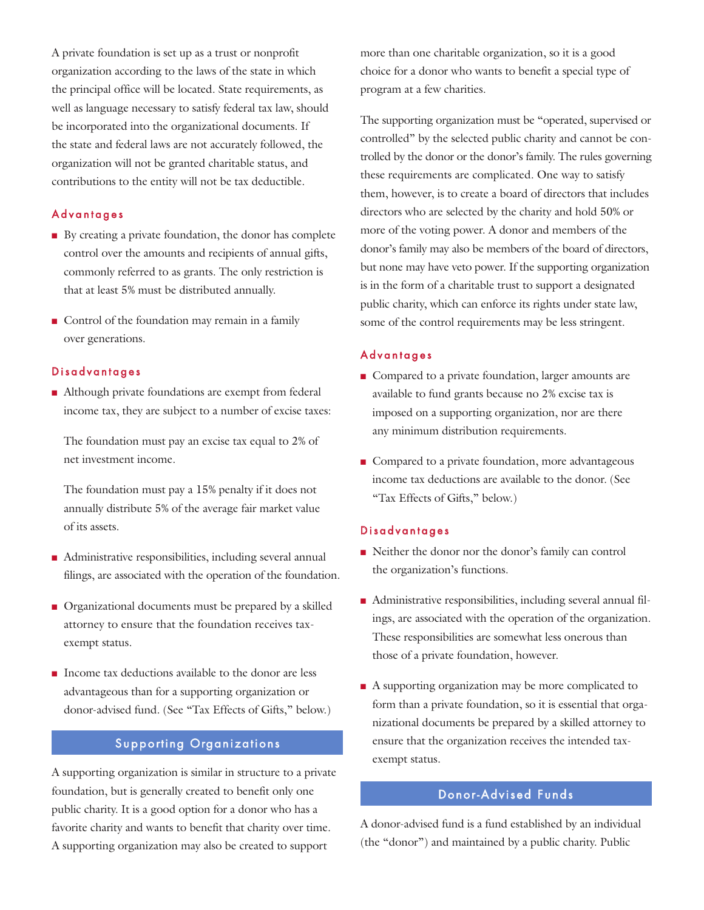A private foundation is set up as a trust or nonprofit organization according to the laws of the state in which the principal office will be located. State requirements, as well as language necessary to satisfy federal tax law, should be incorporated into the organizational documents. If the state and federal laws are not accurately followed, the organization will not be granted charitable status, and contributions to the entity will not be tax deductible.

### Advantages

- By creating a private foundation, the donor has complete control over the amounts and recipients of annual gifts, commonly referred to as grants. The only restriction is that at least 5% must be distributed annually.
- Control of the foundation may remain in a family over generations.

#### Disadvantages

■ Although private foundations are exempt from federal income tax, they are subject to a number of excise taxes:

The foundation must pay an excise tax equal to 2% of net investment income.

The foundation must pay a 15% penalty if it does not annually distribute 5% of the average fair market value of its assets.

- Administrative responsibilities, including several annual filings, are associated with the operation of the foundation.
- Organizational documents must be prepared by a skilled attorney to ensure that the foundation receives taxexempt status.
- Income tax deductions available to the donor are less advantageous than for a supporting organization or donor-advised fund. (See "Tax Effects of Gifts," below.)

#### Supporting Organizations

A supporting organization is similar in structure to a private foundation, but is generally created to benefit only one public charity. It is a good option for a donor who has a favorite charity and wants to benefit that charity over time. A supporting organization may also be created to support

more than one charitable organization, so it is a good choice for a donor who wants to benefit a special type of program at a few charities.

The supporting organization must be "operated, supervised or controlled" by the selected public charity and cannot be controlled by the donor or the donor's family. The rules governing these requirements are complicated. One way to satisfy them, however, is to create a board of directors that includes directors who are selected by the charity and hold 50% or more of the voting power. A donor and members of the donor's family may also be members of the board of directors, but none may have veto power. If the supporting organization is in the form of a charitable trust to support a designated public charity, which can enforce its rights under state law, some of the control requirements may be less stringent.

#### Advantages

- Compared to a private foundation, larger amounts are available to fund grants because no 2% excise tax is imposed on a supporting organization, nor are there any minimum distribution requirements.
- Compared to a private foundation, more advantageous income tax deductions are available to the donor. (See "Tax Effects of Gifts," below.)

#### Disadvantages

- Neither the donor nor the donor's family can control the organization's functions.
- Administrative responsibilities, including several annual filings, are associated with the operation of the organization. These responsibilities are somewhat less onerous than those of a private foundation, however.
- A supporting organization may be more complicated to form than a private foundation, so it is essential that organizational documents be prepared by a skilled attorney to ensure that the organization receives the intended taxexempt status.

#### Donor-Advised Funds

A donor-advised fund is a fund established by an individual (the "donor") and maintained by a public charity. Public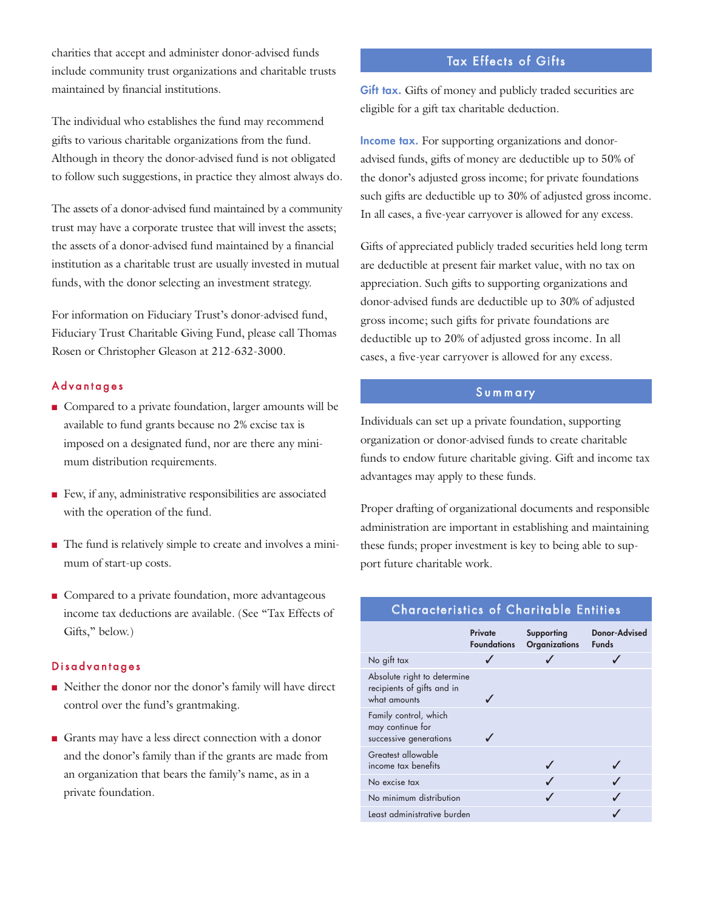charities that accept and administer donor-advised funds include community trust organizations and charitable trusts maintained by financial institutions.

The individual who establishes the fund may recommend gifts to various charitable organizations from the fund. Although in theory the donor-advised fund is not obligated to follow such suggestions, in practice they almost always do.

The assets of a donor-advised fund maintained by a community trust may have a corporate trustee that will invest the assets; the assets of a donor-advised fund maintained by a financial institution as a charitable trust are usually invested in mutual funds, with the donor selecting an investment strategy.

For information on Fiduciary Trust's donor-advised fund, Fiduciary Trust Charitable Giving Fund, please call Thomas Rosen or Christopher Gleason at 212-632-3000.

#### **Advantages**

- Compared to a private foundation, larger amounts will be available to fund grants because no 2% excise tax is imposed on a designated fund, nor are there any minimum distribution requirements.
- Few, if any, administrative responsibilities are associated with the operation of the fund.
- The fund is relatively simple to create and involves a minimum of start-up costs.
- Compared to a private foundation, more advantageous income tax deductions are available. (See "Tax Effects of Gifts," below.)

### Disadvantages

- Neither the donor nor the donor's family will have direct control over the fund's grantmaking.
- Grants may have a less direct connection with a donor and the donor's family than if the grants are made from an organization that bears the family's name, as in a private foundation.

# Tax Effects of Gifts

Gift tax. Gifts of money and publicly traded securities are eligible for a gift tax charitable deduction.

**Income tax.** For supporting organizations and donoradvised funds, gifts of money are deductible up to 50% of the donor's adjusted gross income; for private foundations such gifts are deductible up to 30% of adjusted gross income. In all cases, a five-year carryover is allowed for any excess.

Gifts of appreciated publicly traded securities held long term are deductible at present fair market value, with no tax on appreciation. Such gifts to supporting organizations and donor-advised funds are deductible up to 30% of adjusted gross income; such gifts for private foundations are deductible up to 20% of adjusted gross income. In all cases, a five-year carryover is allowed for any excess.

## S u m m a ry

Individuals can set up a private foundation, supporting organization or donor-advised funds to create charitable funds to endow future charitable giving. Gift and income tax advantages may apply to these funds.

Proper drafting of organizational documents and responsible administration are important in establishing and maintaining these funds; proper investment is key to being able to support future charitable work.

## Characteristics of Charitable Entities

|                                                                           | Private<br><b>Foundations</b> | Supporting<br><b>Organizations</b> | <b>Donor-Advised</b><br><b>Funds</b> |
|---------------------------------------------------------------------------|-------------------------------|------------------------------------|--------------------------------------|
| No gift tax                                                               |                               |                                    |                                      |
| Absolute right to determine<br>recipients of gifts and in<br>what amounts |                               |                                    |                                      |
| Family control, which<br>may continue for<br>successive generations       |                               |                                    |                                      |
| Greatest allowable<br>income tax benefits                                 |                               |                                    |                                      |
| No excise tax                                                             |                               |                                    |                                      |
| No minimum distribution                                                   |                               |                                    |                                      |
| Least administrative burden                                               |                               |                                    |                                      |